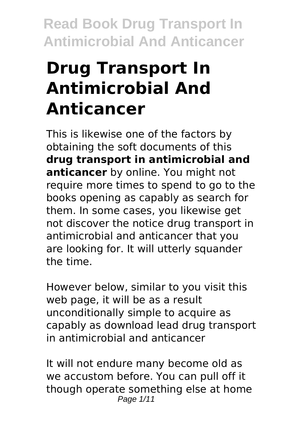# **Drug Transport In Antimicrobial And Anticancer**

This is likewise one of the factors by obtaining the soft documents of this **drug transport in antimicrobial and anticancer** by online. You might not require more times to spend to go to the books opening as capably as search for them. In some cases, you likewise get not discover the notice drug transport in antimicrobial and anticancer that you are looking for. It will utterly squander the time.

However below, similar to you visit this web page, it will be as a result unconditionally simple to acquire as capably as download lead drug transport in antimicrobial and anticancer

It will not endure many become old as we accustom before. You can pull off it though operate something else at home Page 1/11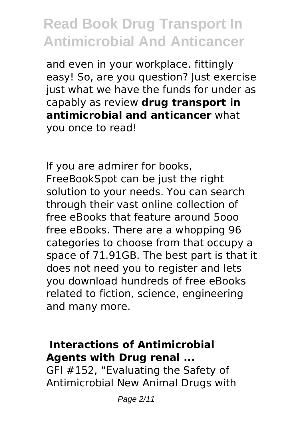and even in your workplace. fittingly easy! So, are you question? Just exercise just what we have the funds for under as capably as review **drug transport in antimicrobial and anticancer** what you once to read!

If you are admirer for books, FreeBookSpot can be just the right solution to your needs. You can search through their vast online collection of free eBooks that feature around 5ooo free eBooks. There are a whopping 96 categories to choose from that occupy a space of 71.91GB. The best part is that it does not need you to register and lets you download hundreds of free eBooks related to fiction, science, engineering and many more.

#### **Interactions of Antimicrobial Agents with Drug renal ...**

GFI #152, "Evaluating the Safety of Antimicrobial New Animal Drugs with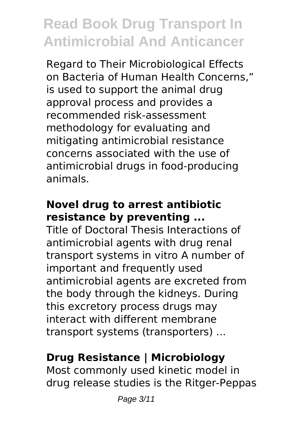Regard to Their Microbiological Effects on Bacteria of Human Health Concerns," is used to support the animal drug approval process and provides a recommended risk-assessment methodology for evaluating and mitigating antimicrobial resistance concerns associated with the use of antimicrobial drugs in food-producing animals.

### **Novel drug to arrest antibiotic resistance by preventing ...**

Title of Doctoral Thesis Interactions of antimicrobial agents with drug renal transport systems in vitro A number of important and frequently used antimicrobial agents are excreted from the body through the kidneys. During this excretory process drugs may interact with different membrane transport systems (transporters) ...

### **Drug Resistance | Microbiology**

Most commonly used kinetic model in drug release studies is the Ritger-Peppas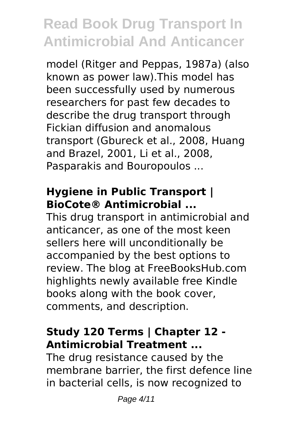model (Ritger and Peppas, 1987a) (also known as power law).This model has been successfully used by numerous researchers for past few decades to describe the drug transport through Fickian diffusion and anomalous transport (Gbureck et al., 2008, Huang and Brazel, 2001, Li et al., 2008, Pasparakis and Bouropoulos ...

### **Hygiene in Public Transport | BioCote® Antimicrobial ...**

This drug transport in antimicrobial and anticancer, as one of the most keen sellers here will unconditionally be accompanied by the best options to review. The blog at FreeBooksHub.com highlights newly available free Kindle books along with the book cover, comments, and description.

### **Study 120 Terms | Chapter 12 - Antimicrobial Treatment ...**

The drug resistance caused by the membrane barrier, the first defence line in bacterial cells, is now recognized to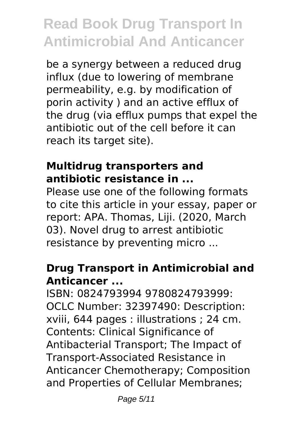be a synergy between a reduced drug influx (due to lowering of membrane permeability, e.g. by modification of porin activity ) and an active efflux of the drug (via efflux pumps that expel the antibiotic out of the cell before it can reach its target site).

#### **Multidrug transporters and antibiotic resistance in ...**

Please use one of the following formats to cite this article in your essay, paper or report: APA. Thomas, Liji. (2020, March 03). Novel drug to arrest antibiotic resistance by preventing micro ...

### **Drug Transport in Antimicrobial and Anticancer ...**

ISBN: 0824793994 9780824793999: OCLC Number: 32397490: Description: xviii, 644 pages : illustrations ; 24 cm. Contents: Clinical Significance of Antibacterial Transport; The Impact of Transport-Associated Resistance in Anticancer Chemotherapy; Composition and Properties of Cellular Membranes;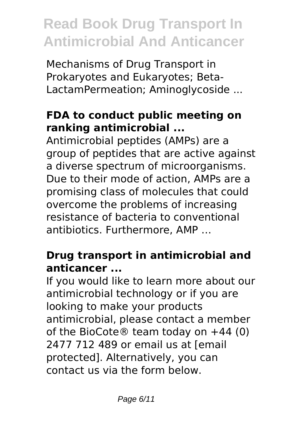Mechanisms of Drug Transport in Prokaryotes and Eukaryotes; Beta-LactamPermeation; Aminoglycoside ...

#### **FDA to conduct public meeting on ranking antimicrobial ...**

Antimicrobial peptides (AMPs) are a group of peptides that are active against a diverse spectrum of microorganisms. Due to their mode of action, AMPs are a promising class of molecules that could overcome the problems of increasing resistance of bacteria to conventional antibiotics. Furthermore, AMP …

### **Drug transport in antimicrobial and anticancer ...**

If you would like to learn more about our antimicrobial technology or if you are looking to make your products antimicrobial, please contact a member of the BioCote® team today on  $+44$  (0) 2477 712 489 or email us at [email protected]. Alternatively, you can contact us via the form below.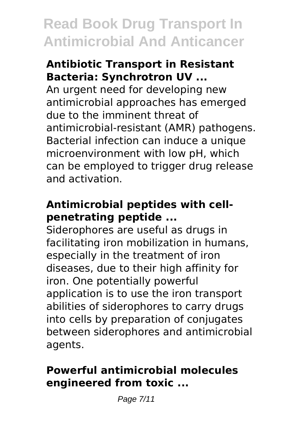#### **Antibiotic Transport in Resistant Bacteria: Synchrotron UV ...**

An urgent need for developing new antimicrobial approaches has emerged due to the imminent threat of antimicrobial‐resistant (AMR) pathogens. Bacterial infection can induce a unique microenvironment with low pH, which can be employed to trigger drug release and activation.

### **Antimicrobial peptides with cellpenetrating peptide ...**

Siderophores are useful as drugs in facilitating iron mobilization in humans, especially in the treatment of iron diseases, due to their high affinity for iron. One potentially powerful application is to use the iron transport abilities of siderophores to carry drugs into cells by preparation of conjugates between siderophores and antimicrobial agents.

#### **Powerful antimicrobial molecules engineered from toxic ...**

Page 7/11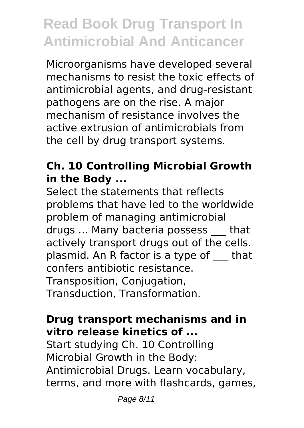Microorganisms have developed several mechanisms to resist the toxic effects of antimicrobial agents, and drug-resistant pathogens are on the rise. A major mechanism of resistance involves the active extrusion of antimicrobials from the cell by drug transport systems.

### **Ch. 10 Controlling Microbial Growth in the Body ...**

Select the statements that reflects problems that have led to the worldwide problem of managing antimicrobial drugs ... Many bacteria possess \_\_\_ that actively transport drugs out of the cells. plasmid. An R factor is a type of \_\_\_ that confers antibiotic resistance. Transposition, Conjugation, Transduction, Transformation.

#### **Drug transport mechanisms and in vitro release kinetics of ...**

Start studying Ch. 10 Controlling Microbial Growth in the Body: Antimicrobial Drugs. Learn vocabulary, terms, and more with flashcards, games,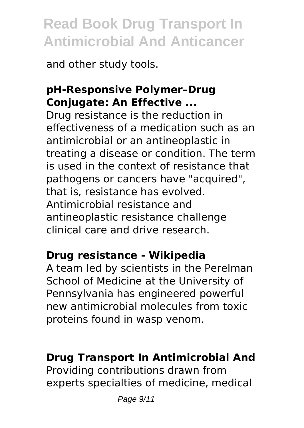and other study tools.

### **pH‐Responsive Polymer–Drug Conjugate: An Effective ...**

Drug resistance is the reduction in effectiveness of a medication such as an antimicrobial or an antineoplastic in treating a disease or condition. The term is used in the context of resistance that pathogens or cancers have "acquired", that is, resistance has evolved. Antimicrobial resistance and antineoplastic resistance challenge clinical care and drive research.

#### **Drug resistance - Wikipedia**

A team led by scientists in the Perelman School of Medicine at the University of Pennsylvania has engineered powerful new antimicrobial molecules from toxic proteins found in wasp venom.

#### **Drug Transport In Antimicrobial And**

Providing contributions drawn from experts specialties of medicine, medical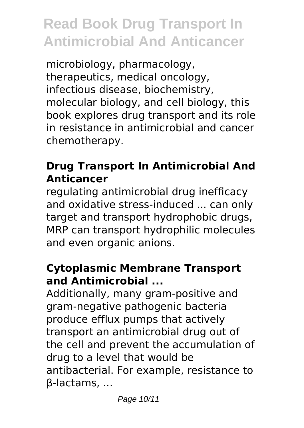microbiology, pharmacology, therapeutics, medical oncology, infectious disease, biochemistry, molecular biology, and cell biology, this book explores drug transport and its role in resistance in antimicrobial and cancer chemotherapy.

### **Drug Transport In Antimicrobial And Anticancer**

regulating antimicrobial drug inefficacy and oxidative stress-induced ... can only target and transport hydrophobic drugs, MRP can transport hydrophilic molecules and even organic anions.

### **Cytoplasmic Membrane Transport and Antimicrobial ...**

Additionally, many gram-positive and gram-negative pathogenic bacteria produce efflux pumps that actively transport an antimicrobial drug out of the cell and prevent the accumulation of drug to a level that would be antibacterial. For example, resistance to β-lactams, ...